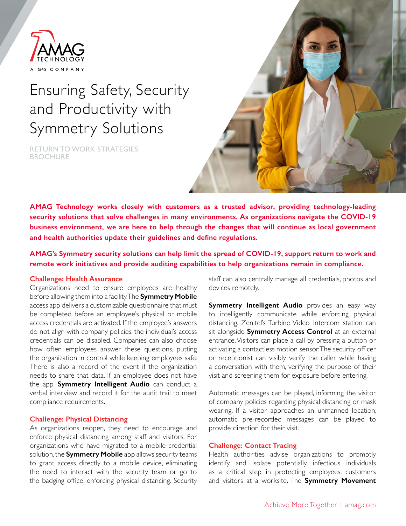

# Ensuring Safety, Security and Productivity with Symmetry Solutions

**BROCHURE** RETURN TO WORK STRATEGIES



**AMAG Technology works closely with customers as a trusted advisor, providing technology-leading security solutions that solve challenges in many environments. As organizations navigate the COVID-19 business environment, we are here to help through the changes that will continue as local government and health authorities update their guidelines and define regulations.**

**AMAG's Symmetry security solutions can help limit the spread of COVID-19, support return to work and remote work initiatives and provide auditing capabilities to help organizations remain in compliance.**

## **Challenge: Health Assurance**

Organizations need to ensure employees are healthy before allowing them into a facility. The **Symmetry Mobile**  access app delivers a customizable questionnaire that must be completed before an employee's physical or mobile access credentials are activated. If the employee's answers do not align with company policies, the individual's access credentials can be disabled. Companies can also choose how often employees answer these questions, putting the organization in control while keeping employees safe. There is also a record of the event if the organization needs to share that data. If an employee does not have the app, **Symmetry Intelligent Audio** can conduct a verbal interview and record it for the audit trail to meet compliance requirements.

#### **Challenge: Physical Distancing**

As organizations reopen, they need to encourage and enforce physical distancing among staff and visitors. For organizations who have migrated to a mobile credential solution, the **Symmetry Mobile** app allows security teams to grant access directly to a mobile device, eliminating the need to interact with the security team or go to the badging office, enforcing physical distancing. Security staff can also centrally manage all credentials, photos and devices remotely.

**Symmetry Intelligent Audio** provides an easy way to intelligently communicate while enforcing physical distancing. Zenitel's Turbine Video Intercom station can sit alongside **Symmetry Access Control** at an external entrance. Visitors can place a call by pressing a button or activating a contactless motion sensor. The security officer or receptionist can visibly verify the caller while having a conversation with them, verifying the purpose of their visit and screening them for exposure before entering.

Automatic messages can be played, informing the visitor of company policies regarding physical distancing or mask wearing. If a visitor approaches an unmanned location, automatic pre-recorded messages can be played to provide direction for their visit.

# **Challenge: Contact Tracing**

Health authorities advise organizations to promptly identify and isolate potentially infectious individuals as a critical step in protecting employees, customers and visitors at a worksite. The **Symmetry Movement**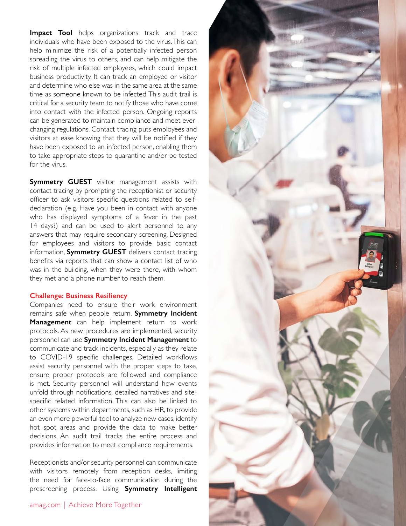**Impact Tool** helps organizations track and trace individuals who have been exposed to the virus. This can help minimize the risk of a potentially infected person spreading the virus to others, and can help mitigate the risk of multiple infected employees, which could impact business productivity. It can track an employee or visitor and determine who else was in the same area at the same time as someone known to be infected. This audit trail is critical for a security team to notify those who have come into contact with the infected person. Ongoing reports can be generated to maintain compliance and meet everchanging regulations. Contact tracing puts employees and visitors at ease knowing that they will be notified if they have been exposed to an infected person, enabling them to take appropriate steps to quarantine and/or be tested for the virus.

**Symmetry GUEST** visitor management assists with contact tracing by prompting the receptionist or security officer to ask visitors specific questions related to selfdeclaration (e.g. Have you been in contact with anyone who has displayed symptoms of a fever in the past 14 days?) and can be used to alert personnel to any answers that may require secondary screening. Designed for employees and visitors to provide basic contact information, **Symmetry GUEST** delivers contact tracing benefits via reports that can show a contact list of who was in the building, when they were there, with whom they met and a phone number to reach them.

## **Challenge: Business Resiliency**

Companies need to ensure their work environment remains safe when people return. **Symmetry Incident Management** can help implement return to work protocols. As new procedures are implemented, security personnel can use **Symmetry Incident Management** to communicate and track incidents, especially as they relate to COVID-19 specific challenges. Detailed workflows assist security personnel with the proper steps to take, ensure proper protocols are followed and compliance is met. Security personnel will understand how events unfold through notifications, detailed narratives and sitespecific related information. This can also be linked to other systems within departments, such as HR, to provide an even more powerful tool to analyze new cases, identify hot spot areas and provide the data to make better decisions. An audit trail tracks the entire process and provides information to meet compliance requirements.

Receptionists and/or security personnel can communicate with visitors remotely from reception desks, limiting the need for face-to-face communication during the prescreening process. Using **Symmetry Intelligent**